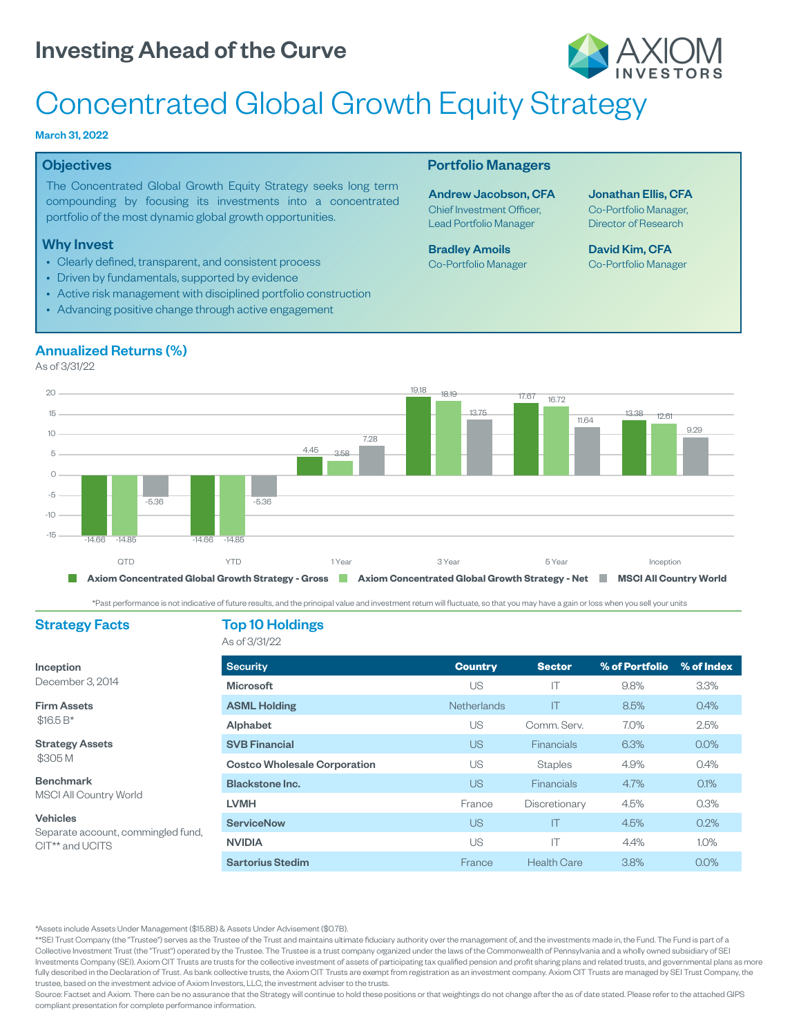

# Concentrated Global Growth Equity Strategy

#### March 31, 2022

#### **Objectives**

The Concentrated Global Growth Equity Strategy seeks long term compounding by focusing its investments into a concentrated portfolio of the most dynamic global growth opportunities.

#### Why Invest

Annualized Returns (%)

- Clearly defined, transparent, and consistent process
- Driven by fundamentals, supported by evidence
- Active risk management with disciplined portfolio construction
- Advancing positive change through active engagement

#### Portfolio Managers

Andrew Jacobson, CFA Chief Investment Officer, Lead Portfolio Manager

Bradley Amoils Co-Portfolio Manager Jonathan Ellis, CFA Co-Portfolio Manager, Director of Research

David Kim, CFA Co-Portfolio Manager



\*Past performance is not indicative of future results, and the principal value and investment return will fluctuate, so that you may have a gain or loss when you sell your units

#### Strategy Facts Top 10 Holdings

### As of 3/31/22

Inception December 3, 2014

Firm Assets \$16.5 B\*

Strategy Assets \$305 M

Benchmark MSCI All Country World

Vehicles Separate account, commingled fund, CIT\*\* and UCITS

| <b>Security</b>                     | <b>Country</b>     | <b>Sector</b>      | % of Portfolio | % of Index |  |
|-------------------------------------|--------------------|--------------------|----------------|------------|--|
| <b>Microsoft</b>                    | US                 | IT                 | 9.8%           | 3.3%       |  |
| <b>ASML Holding</b>                 | <b>Netherlands</b> | IT                 | 8.5%           | 0.4%       |  |
| Alphabet                            | US                 | Comm. Serv.        | 7.0%           | 2.5%       |  |
| <b>SVB Financial</b>                | <b>US</b>          | <b>Financials</b>  | 6.3%           | $0.0\%$    |  |
| <b>Costco Wholesale Corporation</b> | US                 | <b>Staples</b>     | 4.9%           | 0.4%       |  |
| <b>Blackstone Inc.</b>              | <b>US</b>          | <b>Financials</b>  | 4.7%           | 0.1%       |  |
| <b>LVMH</b>                         | France             | Discretionary      | 4.5%           | 0.3%       |  |
| <b>ServiceNow</b>                   | <b>US</b>          | IT                 | 4.5%           | 0.2%       |  |
| <b>NVIDIA</b>                       | US                 | IT                 | 4.4%           | 1.0%       |  |
| <b>Sartorius Stedim</b>             | France             | <b>Health Care</b> | 3.8%           | 0.0%       |  |

\*Assets include Assets Under Management (\$15.8B) Assets Under Advisement (\$0.7B).

\*\*SEI Trust Company (the "Trustee") serves as the Trustee of the Trust and maintains ultimate fiduciary authority over the management of, and the investments made in, the Fund. The Fund is part of a Collective Investment Trust (the "Trust") operated by the Trustee. The Trustee is a trust company organized under the laws of the Commonwealth of Pennsylvania and a wholly owned subsidiary of SEI Investments Company (SEI). Axiom CIT Trusts are trusts for the collective investment of assets of participating tax qualified pension and profit sharing plans and related trusts, and governmental plans as more fully described in the Declaration of Trust. As bank collective trusts, the Axiom CIT Trusts are exempt from registration as an investment company. Axiom CIT Trusts are managed by SEI Trust Company, the trustee, based on the investment advice of Axiom Investors, LLC, the investment adviser to the trusts.

Source: Factset and Axiom. There can be no assurance that the Strategy will continue to hold these positions or that weightings do not change after the as of date stated. Please refer to the attached GIPS compliant presentation for complete performance information.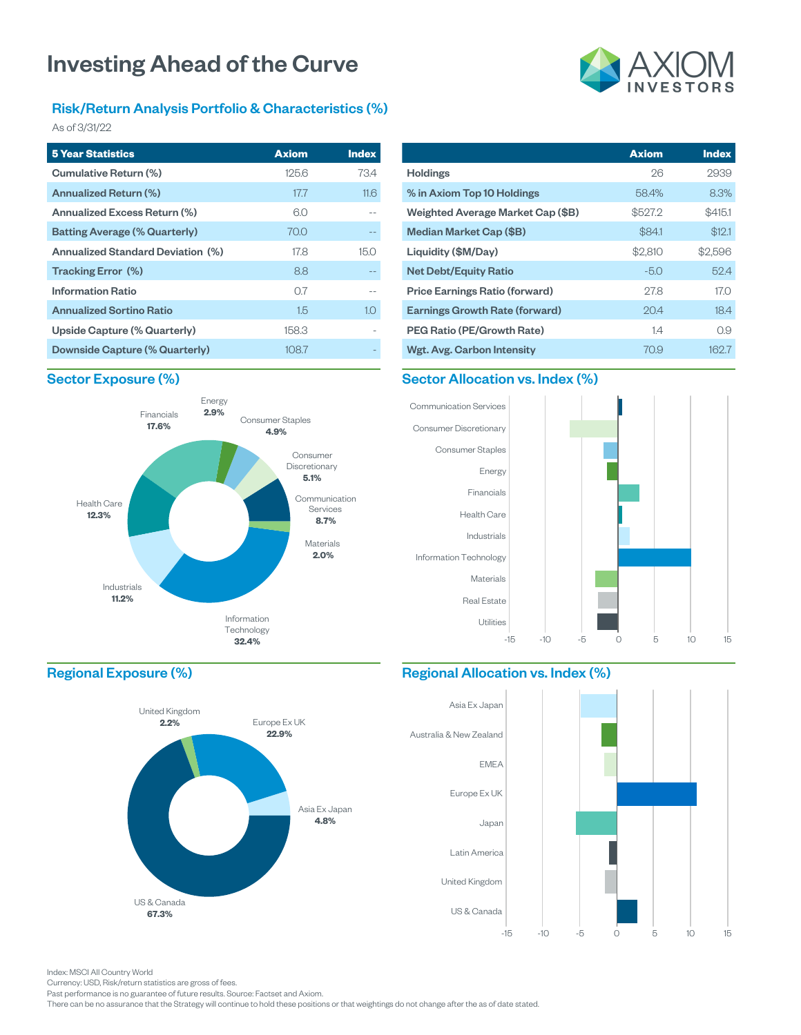#### Risk/Return Analysis Portfolio & Characteristics (%)

As of 3/31/22

| <b>5 Year Statistics</b>                 | <b>Axiom</b> | <b>Index</b> |
|------------------------------------------|--------------|--------------|
| Cumulative Return (%)                    | 125.6        | 73.4         |
| Annualized Return (%)                    | 17.7         | 11.6         |
| Annualized Excess Return (%)             | 6.0          |              |
| <b>Batting Average (% Quarterly)</b>     | 70.0         |              |
| <b>Annualized Standard Deviation (%)</b> | 178          | 15 O         |
| Tracking Error (%)                       | 8.8          |              |
| <b>Information Ratio</b>                 | 07           |              |
| <b>Annualized Sortino Ratio</b>          | 1.5          | 1.0          |
| Upside Capture (% Quarterly)             | 158.3        |              |
| Downside Capture (% Quarterly)           | 108.7        |              |

#### Sector Exposure (%)



|                                       | <b>Axiom</b> | <b>Index</b> |
|---------------------------------------|--------------|--------------|
| Holdings                              | 26           | 2939         |
| % in Axiom Top 10 Holdings            | 58.4%        | 8.3%         |
| Weighted Average Market Cap (\$B)     | \$527.2      | \$415.1      |
| Median Market Cap (\$B)               | \$84.1       | \$12.1       |
| Liquidity (\$M/Day)                   | \$2,810      | \$2,596      |
| <b>Net Debt/Equity Ratio</b>          | $-5.0$       | 52.4         |
| Price Earnings Ratio (forward)        | 27.8         | 17.0         |
| <b>Earnings Growth Rate (forward)</b> | 20.4         | 18.4         |
| PEG Ratio (PE/Growth Rate)            | 1.4          | 0.9          |
| Wgt. Avg. Carbon Intensity            | 70.9         | 162.7        |

#### Sector Allocation vs. Index (%)



#### Regional Exposure (%)



#### Regional Allocation vs. Index (%)



Index: MSCI All Country World

Currency: USD, Risk/return statistics are gross of fees.

Past performance is no guarantee of future results. Source: Factset and Axiom.

There can be no assurance that the Strategy will continue to hold these positions or that weightings do not change after the as of date stated.

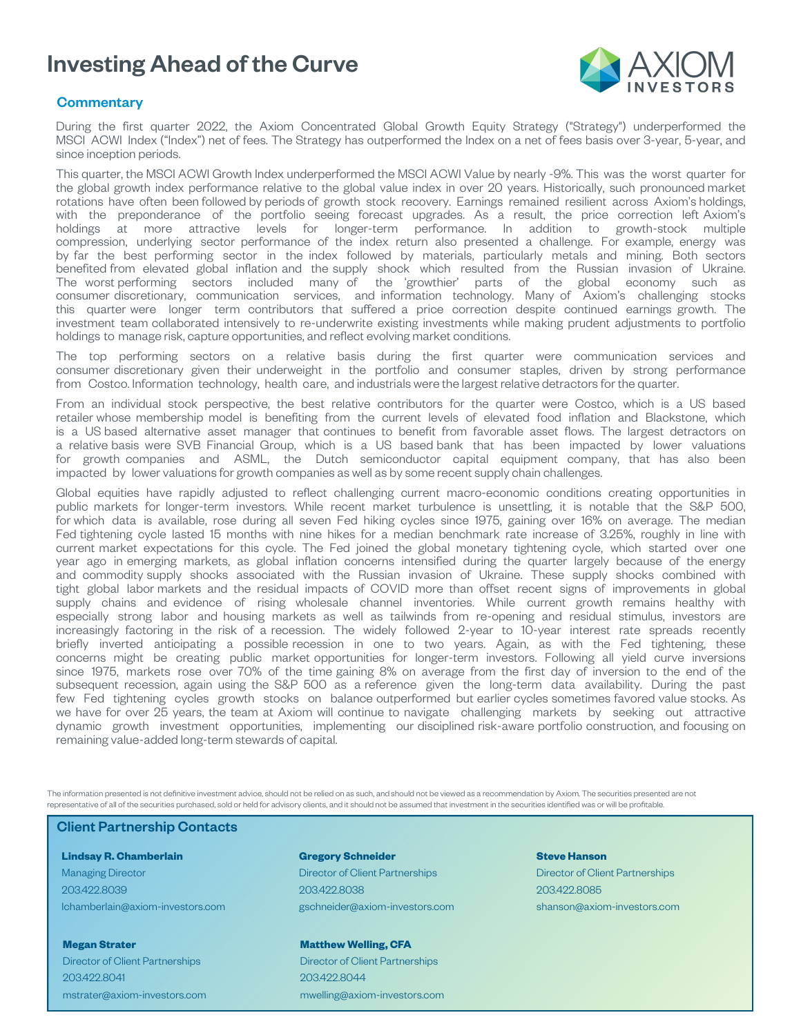

#### **Commentary**

During the first quarter 2022, the Axiom Concentrated Global Growth Equity Strategy ("Strategy") underperformed the MSCI ACWI Index ("Index") net of fees. The Strategy has outperformed the Index on a net of fees basis over 3-year, 5-year, and since inception periods.

This quarter, the MSCI ACWI Growth Index underperformed the MSCI ACWI Value by nearly -9%. This was the worst quarter for the global growth index performance relative to the global value index in over 20 years. Historically, such pronounced market rotations have often been followed by periods of growth stock recovery. Earnings remained resilient across Axiom's holdings, with the preponderance of the portfolio seeing forecast upgrades. As a result, the price correction left Axiom's holdings at more attractive levels for longer-term performance. In addition to growth-stock multiple compression, underlying sector performance of the index return also presented a challenge. For example, energy was by far the best performing sector in the index followed by materials, particularly metals and mining. Both sectors benefited from elevated global inflation and the supply shock which resulted from the Russian invasion of Ukraine. The worst performing sectors included many of the 'growthier' parts of the global economy such as consumer discretionary, communication services, and information technology. Many of Axiom's challenging stocks this quarter were longer term contributors that suffered a price correction despite continued earnings growth. The investment team collaborated intensively to re-underwrite existing investments while making prudent adjustments to portfolio holdings to manage risk, capture opportunities, and reflect evolving market conditions.

The top performing sectors on a relative basis during the first quarter were communication services and consumer discretionary given their underweight in the portfolio and consumer staples, driven by strong performance from Costco. Information technology, health care, and industrials were the largest relative detractors for the quarter.

From an individual stock perspective, the best relative contributors for the quarter were Costco, which is a US based retailer whose membership model is benefiting from the current levels of elevated food inflation and Blackstone, which is a US based alternative asset manager that continues to benefit from favorable asset flows. The largest detractors on a relative basis were SVB Financial Group, which is a US based bank that has been impacted by lower valuations for growth companies and ASML, the Dutch semiconductor capital equipment company, that has also been impacted by lower valuations for growth companies as well as by some recent supply chain challenges.

Global equities have rapidly adjusted to reflect challenging current macro-economic conditions creating opportunities in public markets for longer-term investors. While recent market turbulence is unsettling, it is notable that the S&P 500, for which data is available, rose during all seven Fed hiking cycles since 1975, gaining over 16% on average. The median Fed tightening cycle lasted 15 months with nine hikes for a median benchmark rate increase of 3.25%, roughly in line with current market expectations for this cycle. The Fed joined the global monetary tightening cycle, which started over one year ago in emerging markets, as global inflation concerns intensified during the quarter largely because of the energy and commodity supply shocks associated with the Russian invasion of Ukraine. These supply shocks combined with tight global labor markets and the residual impacts of COVID more than offset recent signs of improvements in global supply chains and evidence of rising wholesale channel inventories. While current growth remains healthy with especially strong labor and housing markets as well as tailwinds from re-opening and residual stimulus, investors are increasingly factoring in the risk of a recession. The widely followed 2-year to 10-year interest rate spreads recently briefly inverted anticipating a possible recession in one to two years. Again, as with the Fed tightening, these concerns might be creating public market opportunities for longer-term investors. Following all yield curve inversions since 1975, markets rose over 70% of the time gaining 8% on average from the first day of inversion to the end of the subsequent recession, again using the S&P 500 as a reference given the long-term data availability. During the past few Fed tightening cycles growth stocks on balance outperformed but earlier cycles sometimes favored value stocks. As we have for over 25 years, the team at Axiom will continue to navigate challenging markets by seeking out attractive dynamic growth investment opportunities, implementing our disciplined risk-aware portfolio construction, and focusing on remaining value-added long-term stewards of capital.

The information presented is not definitive investment advice, should not be relied on as such, and should not be viewed as a recommendation by Axiom. The securities presented are not representative of all of the securities purchased, sold or held for advisory clients, and it should not be assumed that investment in the securities identified was or will be profitable.

#### Client Partnership Contacts

**Lindsay R. Chamberlain** Managing Director 203.422.8039 lchamberlain@axiom-investors.com

**Megan Strater** Director of Client Partnerships 203.422.8041 mstrater@axiom-investors.com

#### **Gregory Schneider** Director of Client Partnerships 203.422.8038 gschneider@axiom-investors.com

**Matthew Welling, CFA**

Director of Client Partnerships 203.422.8044 mwelling@axiom-investors.com

#### **Steve Hanson**

Director of Client Partnerships 203.422.8085 shanson@axiom-investors.com